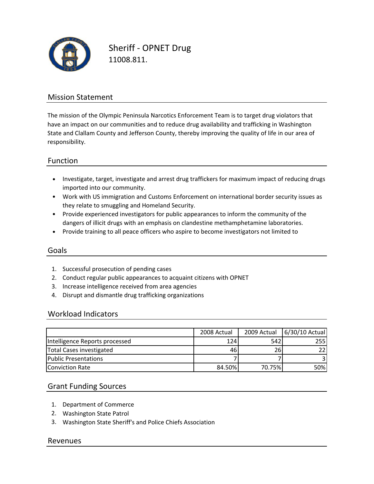

Sheriff ‐ OPNET Drug 11008.811.

### Mission Statement

The mission of the Olympic Peninsula Narcotics Enforcement Team is to target drug violators that have an impact on our communities and to reduce drug availability and trafficking in Washington State and Clallam County and Jefferson County, thereby improving the quality of life in our area of responsibility.

### Function

- Investigate, target, investigate and arrest drug traffickers for maximum impact of reducing drugs imported into our community.
- Work with US immigration and Customs Enforcement on international border security issues as they relate to smuggling and Homeland Security.
- Provide experienced investigators for public appearances to inform the community of the dangers of illicit drugs with an emphasis on clandestine methamphetamine laboratories.
- Provide training to all peace officers who aspire to become investigators not limited to

#### Goals

- 1. Successful prosecution of pending cases
- 2. Conduct regular public appearances to acquaint citizens with OPNET
- 3. Increase intelligence received from area agencies
- 4. Disrupt and dismantle drug trafficking organizations

#### Workload Indicators

|                                | 2008 Actual | 2009 Actual | 6/30/10 Actual  |
|--------------------------------|-------------|-------------|-----------------|
| Intelligence Reports processed | 124         | 542         | 255I            |
| Total Cases investigated       | 461         | 261         | 22 <sub>1</sub> |
| <b>Public Presentations</b>    |             |             |                 |
| <b>Conviction Rate</b>         | 84.50%      | 70.75%      | 50%l            |

#### Grant Funding Sources

- 1. Department of Commerce
- 2. Washington State Patrol
- 3. Washington State Sheriff's and Police Chiefs Association

#### Revenues